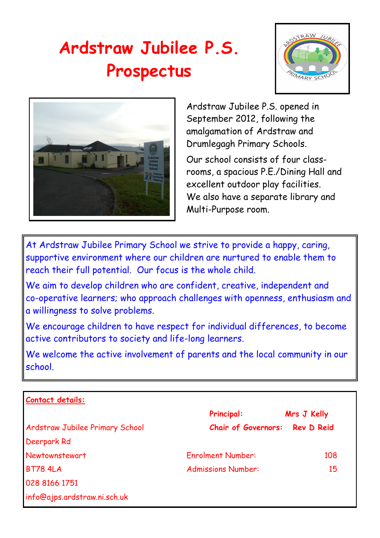# **Ardstraw Jubilee P.S. Prospectus**





Ardstraw Jubilee P.S. opened in September 2012, following the amalgamation of Ardstraw and Drumlegagh Primary Schools.

Our school consists of four classrooms, a spacious P.E./Dining Hall and excellent outdoor play facilities. We also have a separate library and Multi-Purpose room.

At Ardstraw Jubilee Primary School we strive to provide a happy, caring, supportive environment where our children are nurtured to enable them to reach their full potential. Our focus is the whole child.

We aim to develop children who are confident, creative, independent and co-operative learners; who approach challenges with openness, enthusiasm and a willingness to solve problems.

We encourage children to have respect for individual differences, to become active contributors to society and life-long learners.

We welcome the active involvement of parents and the local community in our school.

| Contact details:                       |                            |                   |
|----------------------------------------|----------------------------|-------------------|
|                                        | <b>Principal:</b>          | Mrs J Kelly       |
| <b>Ardstraw Jubilee Primary School</b> | <b>Chair of Governors:</b> | <b>Rev D Reid</b> |
| Deerpark Rd                            |                            |                   |
| Newtownstewart                         | <b>Enrolment Number:</b>   | 108               |
| <b>BT78 4LA</b>                        | <b>Admissions Number:</b>  | 15                |
| 028 8166 1751                          |                            |                   |
| info@ajps.ardstraw.ni.sch.uk           |                            |                   |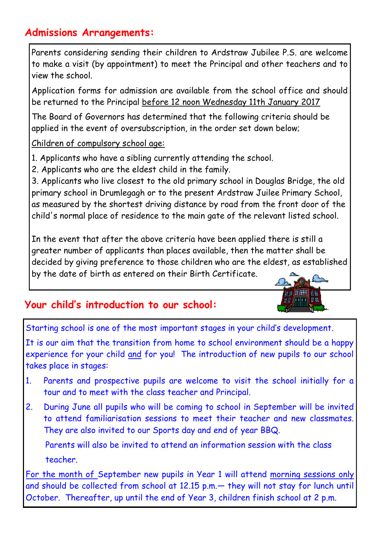# **Admissions Arrangements:**

Parents considering sending their children to Ardstraw Jubilee P.S. are welcome to make a visit (by appointment) to meet the Principal and other teachers and to view the school.

Application forms for admission are available from the school office and should be returned to the Principal before 12 noon Wednesday 11th January 2017

The Board of Governors has determined that the following criteria should be applied in the event of oversubscription, in the order set down below;

Children of compulsory school age:

- 1. Applicants who have a sibling currently attending the school.
- 2. Applicants who are the eldest child in the family.

3. Applicants who live closest to the old primary school in Douglas Bridge, the old primary school in Drumlegagh or to the present Ardstraw Juilee Primary School, as measured by the shortest driving distance by road from the front door of the child's normal place of residence to the main gate of the relevant listed school.

In the event that after the above criteria have been applied there is still a greater number of applicants than places available, then the matter shall be decided by giving preference to those children who are the eldest, as established by the date of birth as entered on their Birth Certificate.

# **Your child's introduction to our school:**

Starting school is one of the most important stages in your child's development.

It is our aim that the transition from home to school environment should be a happy experience for your child and for you! The introduction of new pupils to our school takes place in stages:

- 1. Parents and prospective pupils are welcome to visit the school initially for a tour and to meet with the class teacher and Principal.
- 2. During June all pupils who will be coming to school in September will be invited to attend familiarisation sessions to meet their teacher and new classmates. They are also invited to our Sports day and end of year BBQ.

 Parents will also be invited to attend an information session with the class teacher.

For the month of September new pupils in Year 1 will attend morning sessions only and should be collected from school at 12.15 p.m.— they will not stay for lunch until October. Thereafter, up until the end of Year 3, children finish school at 2 p.m.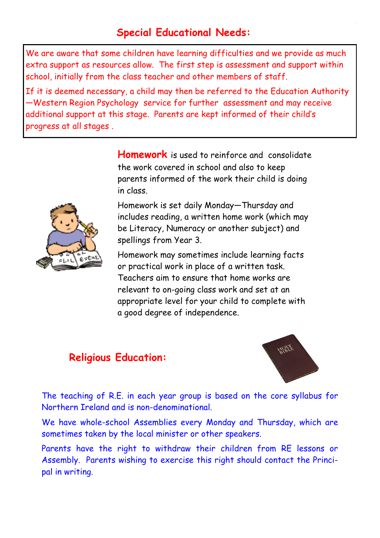# **Special Educational Needs:**

We are aware that some children have learning difficulties and we provide as much extra support as resources allow. The first step is assessment and support within school, initially from the class teacher and other members of staff.

If it is deemed necessary, a child may then be referred to the Education Authority —Western Region Psychology service for further assessment and may receive additional support at this stage. Parents are kept informed of their child's progress at all stages .



**Homework** is used to reinforce and consolidate the work covered in school and also to keep parents informed of the work their child is doing in class.

Homework is set daily Monday—Thursday and includes reading, a written home work (which may be Literacy, Numeracy or another subject) and spellings from Year 3.

Homework may sometimes include learning facts or practical work in place of a written task. Teachers aim to ensure that home works are relevant to on-going class work and set at an appropriate level for your child to complete with a good degree of independence.

#### **Religious Education:**



The teaching of R.E. in each year group is based on the core syllabus for Northern Ireland and is non-denominational.

We have whole-school Assemblies every Monday and Thursday, which are sometimes taken by the local minister or other speakers.

Parents have the right to withdraw their children from RE lessons or Assembly. Parents wishing to exercise this right should contact the Principal in writing.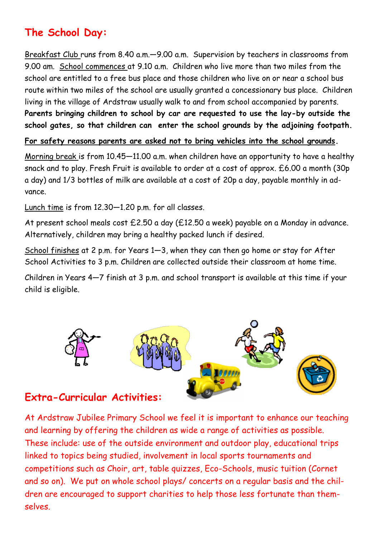# **The School Day:**

Breakfast Club runs from 8.40 a.m.—9.00 a.m. Supervision by teachers in classrooms from 9.00 am. School commences at 9.10 a.m. Children who live more than two miles from the school are entitled to a free bus place and those children who live on or near a school bus route within two miles of the school are usually granted a concessionary bus place. Children living in the village of Ardstraw usually walk to and from school accompanied by parents. **Parents bringing children to school by car are requested to use the lay-by outside the school gates, so that children can enter the school grounds by the adjoining footpath.** 

**For safety reasons parents are asked not to bring vehicles into the school grounds.**

Morning break is from 10.45—11.00 a.m. when children have an opportunity to have a healthy snack and to play. Fresh Fruit is available to order at a cost of approx. £6.00 a month (30p a day) and 1/3 bottles of milk are available at a cost of 20p a day, payable monthly in advance.

Lunch time is from 12.30—1.20 p.m. for all classes.

At present school meals cost £2.50 a day (£12.50 a week) payable on a Monday in advance. Alternatively, children may bring a healthy packed lunch if desired.

School finishes at 2 p.m. for Years 1—3, when they can then go home or stay for After School Activities to 3 p.m. Children are collected outside their classroom at home time.

Children in Years 4—7 finish at 3 p.m. and school transport is available at this time if your child is eligible.



#### **Extra-Curricular Activities:**

At Ardstraw Jubilee Primary School we feel it is important to enhance our teaching and learning by offering the children as wide a range of activities as possible. These include: use of the outside environment and outdoor play, educational trips linked to topics being studied, involvement in local sports tournaments and competitions such as Choir, art, table quizzes, Eco-Schools, music tuition (Cornet and so on). We put on whole school plays/ concerts on a regular basis and the children are encouraged to support charities to help those less fortunate than themselves.